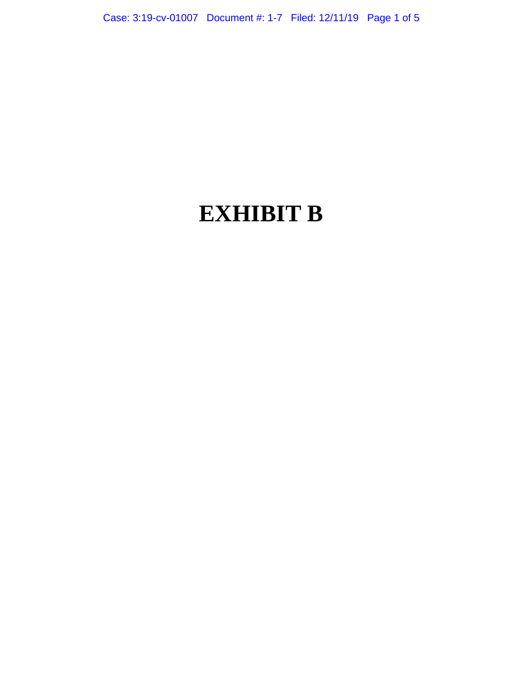# **EXHIBIT B**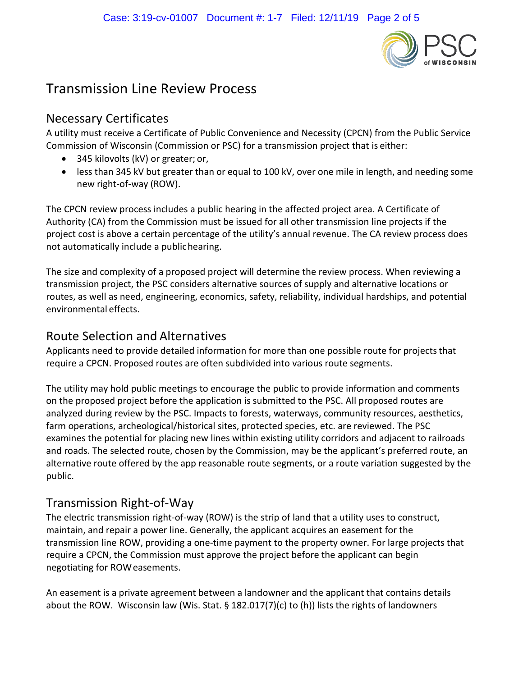

# Transmission Line Review Process

#### Necessary Certificates

A utility must receive a Certificate of Public Convenience and Necessity (CPCN) from the Public Service Commission of Wisconsin (Commission or PSC) for a transmission project that is either:

- 345 kilovolts (kV) or greater; or,
- less than 345 kV but greater than or equal to 100 kV, over one mile in length, and needing some new right-of-way (ROW).

The CPCN review process includes a public hearing in the affected project area. A Certificate of Authority (CA) from the Commission must be issued for all other transmission line projects if the project cost is above a certain percentage of the utility's annual revenue. The CA review process does not automatically include a publichearing.

The size and complexity of a proposed project will determine the review process. When reviewing a transmission project, the PSC considers alternative sources of supply and alternative locations or routes, as well as need, engineering, economics, safety, reliability, individual hardships, and potential environmental effects.

#### Route Selection and Alternatives

Applicants need to provide detailed information for more than one possible route for projects that require a CPCN. Proposed routes are often subdivided into various route segments.

The utility may hold public meetings to encourage the public to provide information and comments on the proposed project before the application is submitted to the PSC. All proposed routes are analyzed during review by the PSC. Impacts to forests, waterways, community resources, aesthetics, farm operations, archeological/historical sites, protected species, etc. are reviewed. The PSC examines the potential for placing new lines within existing utility corridors and adjacent to railroads and roads. The selected route, chosen by the Commission, may be the applicant's preferred route, an alternative route offered by the app reasonable route segments, or a route variation suggested by the public.

# Transmission Right-of-Way

The electric transmission right-of-way (ROW) is the strip of land that a utility uses to construct, maintain, and repair a power line. Generally, the applicant acquires an easement for the transmission line ROW, providing a one-time payment to the property owner. For large projects that require a CPCN, the Commission must approve the project before the applicant can begin negotiating for ROWeasements.

An easement is a private agreement between a landowner and the applicant that contains details about the ROW. Wisconsin law (Wis. Stat. § 182.017(7)(c) to (h)) lists the rights of landowners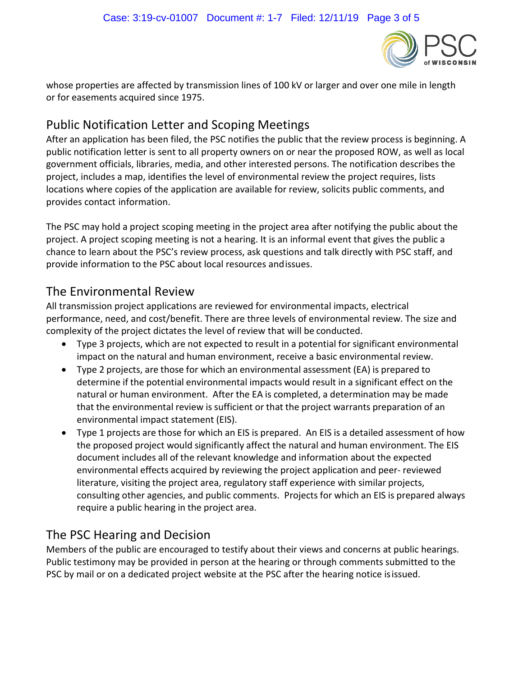

whose properties are affected by transmission lines of 100 kV or larger and over one mile in length or for easements acquired since 1975.

### Public Notification Letter and Scoping Meetings

After an application has been filed, the PSC notifies the public that the review process is beginning. A public notification letter is sent to all property owners on or near the proposed ROW, as well as local government officials, libraries, media, and other interested persons. The notification describes the project, includes a map, identifies the level of environmental review the project requires, lists locations where copies of the application are available for review, solicits public comments, and provides contact information.

The PSC may hold a project scoping meeting in the project area after notifying the public about the project. A project scoping meeting is not a hearing. It is an informal event that gives the public a chance to learn about the PSC's review process, ask questions and talk directly with PSC staff, and provide information to the PSC about local resources andissues.

## The Environmental Review

All transmission project applications are reviewed for environmental impacts, electrical performance, need, and cost/benefit. There are three levels of environmental review. The size and complexity of the project dictates the level of review that will be conducted.

- Type 3 projects, which are not expected to result in a potential for significant environmental impact on the natural and human environment, receive a basic environmental review.
- Type 2 projects, are those for which an environmental assessment (EA) is prepared to determine if the potential environmental impacts would result in a significant effect on the natural or human environment. After the EA is completed, a determination may be made that the environmental review is sufficient or that the project warrants preparation of an environmental impact statement (EIS).
- Type 1 projects are those for which an EIS is prepared. An EIS is a detailed assessment of how the proposed project would significantly affect the natural and human environment. The EIS document includes all of the relevant knowledge and information about the expected environmental effects acquired by reviewing the project application and peer- reviewed literature, visiting the project area, regulatory staff experience with similar projects, consulting other agencies, and public comments. Projects for which an EIS is prepared always require a public hearing in the project area.

# The PSC Hearing and Decision

Members of the public are encouraged to testify about their views and concerns at public hearings. Public testimony may be provided in person at the hearing or through comments submitted to the PSC by mail or on a dedicated project website at the PSC after the hearing notice isissued.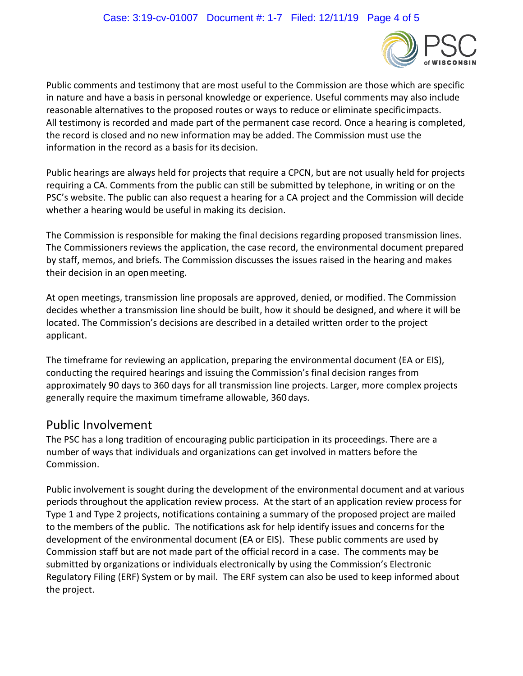

Public comments and testimony that are most useful to the Commission are those which are specific in nature and have a basis in personal knowledge or experience. Useful comments may also include reasonable alternatives to the proposed routes or ways to reduce or eliminate specificimpacts. All testimony is recorded and made part of the permanent case record. Once a hearing is completed, the record is closed and no new information may be added. The Commission must use the information in the record as a basis for its decision.

Public hearings are always held for projects that require a CPCN, but are not usually held for projects requiring a CA. Comments from the public can still be submitted by telephone, in writing or on the PSC's website. The public can also request a hearing for a CA project and the Commission will decide whether a hearing would be useful in making its decision.

The Commission is responsible for making the final decisions regarding proposed transmission lines. The Commissioners reviews the application, the case record, the environmental document prepared by staff, memos, and briefs. The Commission discusses the issues raised in the hearing and makes their decision in an openmeeting.

At open meetings, transmission line proposals are approved, denied, or modified. The Commission decides whether a transmission line should be built, how it should be designed, and where it will be located. The Commission's decisions are described in a detailed written order to the project applicant.

The timeframe for reviewing an application, preparing the environmental document (EA or EIS), conducting the required hearings and issuing the Commission's final decision ranges from approximately 90 days to 360 days for all transmission line projects. Larger, more complex projects generally require the maximum timeframe allowable, 360 days.

#### Public Involvement

The PSC has a long tradition of encouraging public participation in its proceedings. There are a number of ways that individuals and organizations can get involved in matters before the Commission.

Public involvement is sought during the development of the environmental document and at various periods throughout the application review process. At the start of an application review process for Type 1 and Type 2 projects, notifications containing a summary of the proposed project are mailed to the members of the public. The notifications ask for help identify issues and concerns for the development of the environmental document (EA or EIS). These public comments are used by Commission staff but are not made part of the official record in a case. The comments may be submitted by organizations or individuals electronically by using the Commission's Electronic Regulatory Filing (ERF) System or by mail. The ERF system can also be used to keep informed about the project.